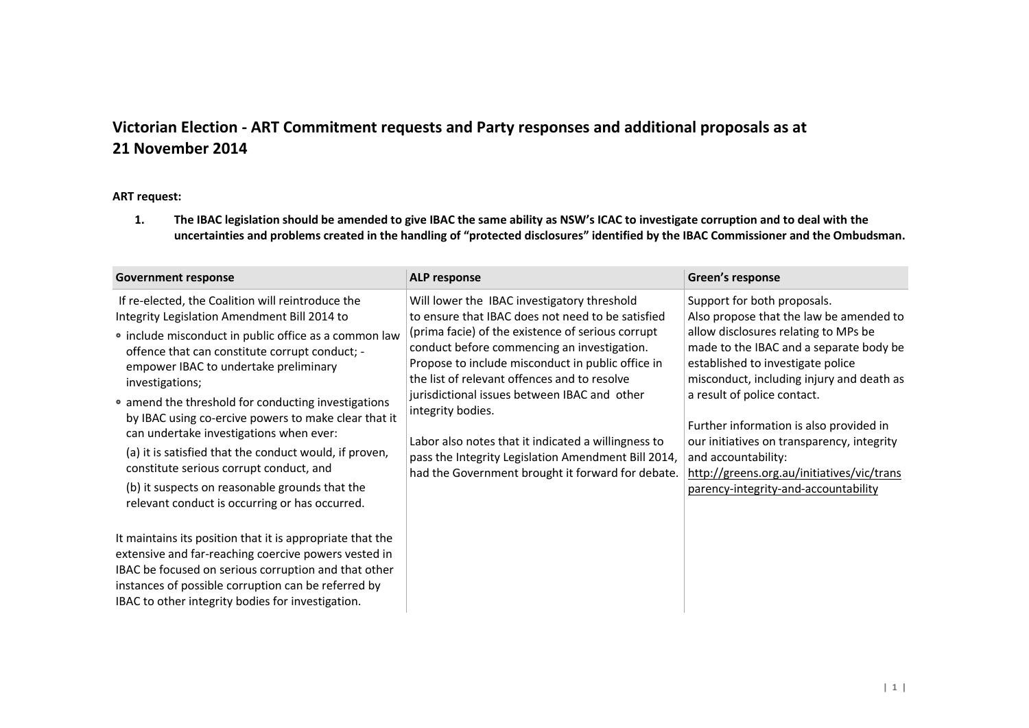# **Victorian Election - ART Commitment requests and Party responses and additional proposals as at 21 November 2014**

#### **ART request:**

**1. The IBAC legislation should be amended to give IBAC the same ability as NSW's ICAC to investigate corruption and to deal with the uncertainties and problems created in the handling of "protected disclosures" identified by the IBAC Commissioner and the Ombudsman.**

| <b>Government response</b>                                                                                                                                                                                                                                                                                                                                                                                                                                                                                                                                                                                                                  | <b>ALP response</b>                                                                                                                                                                                                                                                                                                                                                                                                                                                                                                                               | Green's response                                                                                                                                                                                                                                                                                                                                                                                                                                                                 |
|---------------------------------------------------------------------------------------------------------------------------------------------------------------------------------------------------------------------------------------------------------------------------------------------------------------------------------------------------------------------------------------------------------------------------------------------------------------------------------------------------------------------------------------------------------------------------------------------------------------------------------------------|---------------------------------------------------------------------------------------------------------------------------------------------------------------------------------------------------------------------------------------------------------------------------------------------------------------------------------------------------------------------------------------------------------------------------------------------------------------------------------------------------------------------------------------------------|----------------------------------------------------------------------------------------------------------------------------------------------------------------------------------------------------------------------------------------------------------------------------------------------------------------------------------------------------------------------------------------------------------------------------------------------------------------------------------|
| If re-elected, the Coalition will reintroduce the<br>Integrity Legislation Amendment Bill 2014 to<br>• include misconduct in public office as a common law<br>offence that can constitute corrupt conduct; -<br>empower IBAC to undertake preliminary<br>investigations;<br>• amend the threshold for conducting investigations<br>by IBAC using co-ercive powers to make clear that it<br>can undertake investigations when ever:<br>(a) it is satisfied that the conduct would, if proven,<br>constitute serious corrupt conduct, and<br>(b) it suspects on reasonable grounds that the<br>relevant conduct is occurring or has occurred. | Will lower the IBAC investigatory threshold<br>to ensure that IBAC does not need to be satisfied<br>(prima facie) of the existence of serious corrupt<br>conduct before commencing an investigation.<br>Propose to include misconduct in public office in<br>the list of relevant offences and to resolve<br>jurisdictional issues between IBAC and other<br>integrity bodies.<br>Labor also notes that it indicated a willingness to<br>pass the Integrity Legislation Amendment Bill 2014,<br>had the Government brought it forward for debate. | Support for both proposals.<br>Also propose that the law be amended to<br>allow disclosures relating to MPs be<br>made to the IBAC and a separate body be<br>established to investigate police<br>misconduct, including injury and death as<br>a result of police contact.<br>Further information is also provided in<br>our initiatives on transparency, integrity<br>and accountability:<br>http://greens.org.au/initiatives/vic/trans<br>parency-integrity-and-accountability |
| It maintains its position that it is appropriate that the<br>extensive and far-reaching coercive powers vested in<br>IBAC be focused on serious corruption and that other<br>instances of possible corruption can be referred by<br>IBAC to other integrity bodies for investigation.                                                                                                                                                                                                                                                                                                                                                       |                                                                                                                                                                                                                                                                                                                                                                                                                                                                                                                                                   |                                                                                                                                                                                                                                                                                                                                                                                                                                                                                  |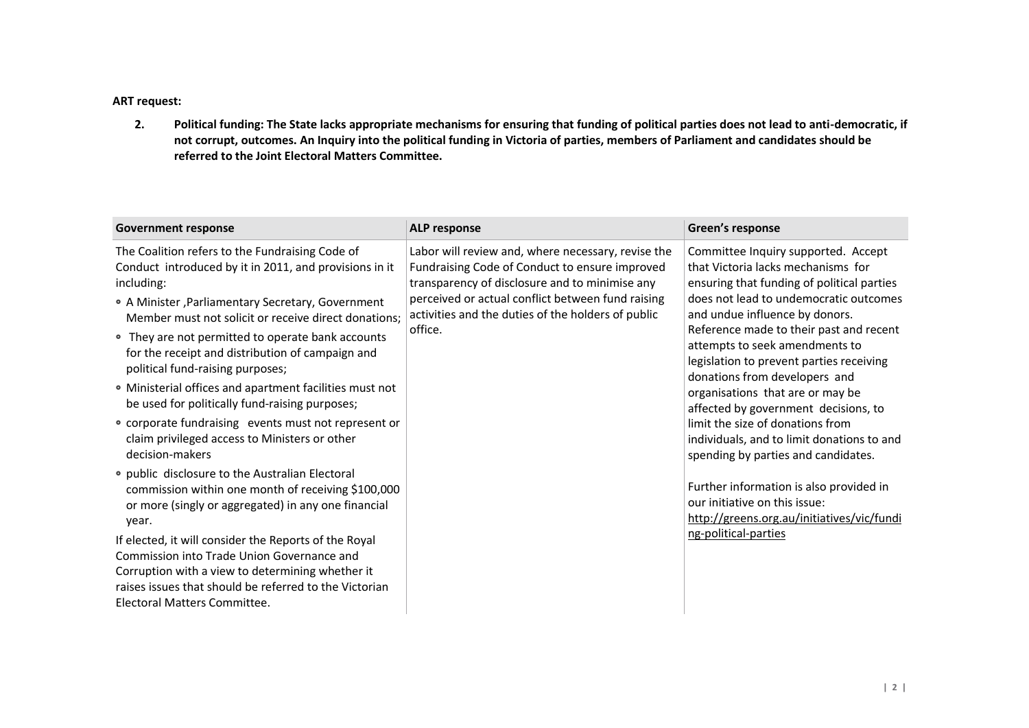#### **ART request:**

**2. Political funding: The State lacks appropriate mechanisms for ensuring that funding of political parties does not lead to anti-democratic, if not corrupt, outcomes. An Inquiry into the political funding in Victoria of parties, members of Parliament and candidates should be referred to the Joint Electoral Matters Committee.**

| <b>Government response</b>                                                                                                                                                                                                                                                                                                                                                                                                                                                                     | <b>ALP response</b>                                                                                                                                                                                                                                                          | Green's response                                                                                                                                                                                                                                                                                                                                                                                                                          |
|------------------------------------------------------------------------------------------------------------------------------------------------------------------------------------------------------------------------------------------------------------------------------------------------------------------------------------------------------------------------------------------------------------------------------------------------------------------------------------------------|------------------------------------------------------------------------------------------------------------------------------------------------------------------------------------------------------------------------------------------------------------------------------|-------------------------------------------------------------------------------------------------------------------------------------------------------------------------------------------------------------------------------------------------------------------------------------------------------------------------------------------------------------------------------------------------------------------------------------------|
| The Coalition refers to the Fundraising Code of<br>Conduct introduced by it in 2011, and provisions in it<br>including:<br>• A Minister, Parliamentary Secretary, Government<br>Member must not solicit or receive direct donations;<br>• They are not permitted to operate bank accounts<br>for the receipt and distribution of campaign and<br>political fund-raising purposes;<br>• Ministerial offices and apartment facilities must not<br>be used for politically fund-raising purposes; | Labor will review and, where necessary, revise the<br>Fundraising Code of Conduct to ensure improved<br>transparency of disclosure and to minimise any<br>perceived or actual conflict between fund raising<br>activities and the duties of the holders of public<br>office. | Committee Inquiry supported. Accept<br>that Victoria lacks mechanisms for<br>ensuring that funding of political parties<br>does not lead to undemocratic outcomes<br>and undue influence by donors.<br>Reference made to their past and recent<br>attempts to seek amendments to<br>legislation to prevent parties receiving<br>donations from developers and<br>organisations that are or may be<br>affected by government decisions, to |
| • corporate fundraising events must not represent or<br>claim privileged access to Ministers or other<br>decision-makers                                                                                                                                                                                                                                                                                                                                                                       |                                                                                                                                                                                                                                                                              | limit the size of donations from<br>individuals, and to limit donations to and<br>spending by parties and candidates.                                                                                                                                                                                                                                                                                                                     |
| • public disclosure to the Australian Electoral<br>commission within one month of receiving \$100,000<br>or more (singly or aggregated) in any one financial<br>year.                                                                                                                                                                                                                                                                                                                          |                                                                                                                                                                                                                                                                              | Further information is also provided in<br>our initiative on this issue:<br>http://greens.org.au/initiatives/vic/fundi                                                                                                                                                                                                                                                                                                                    |
| If elected, it will consider the Reports of the Royal<br>Commission into Trade Union Governance and<br>Corruption with a view to determining whether it<br>raises issues that should be referred to the Victorian<br>Electoral Matters Committee.                                                                                                                                                                                                                                              |                                                                                                                                                                                                                                                                              | ng-political-parties                                                                                                                                                                                                                                                                                                                                                                                                                      |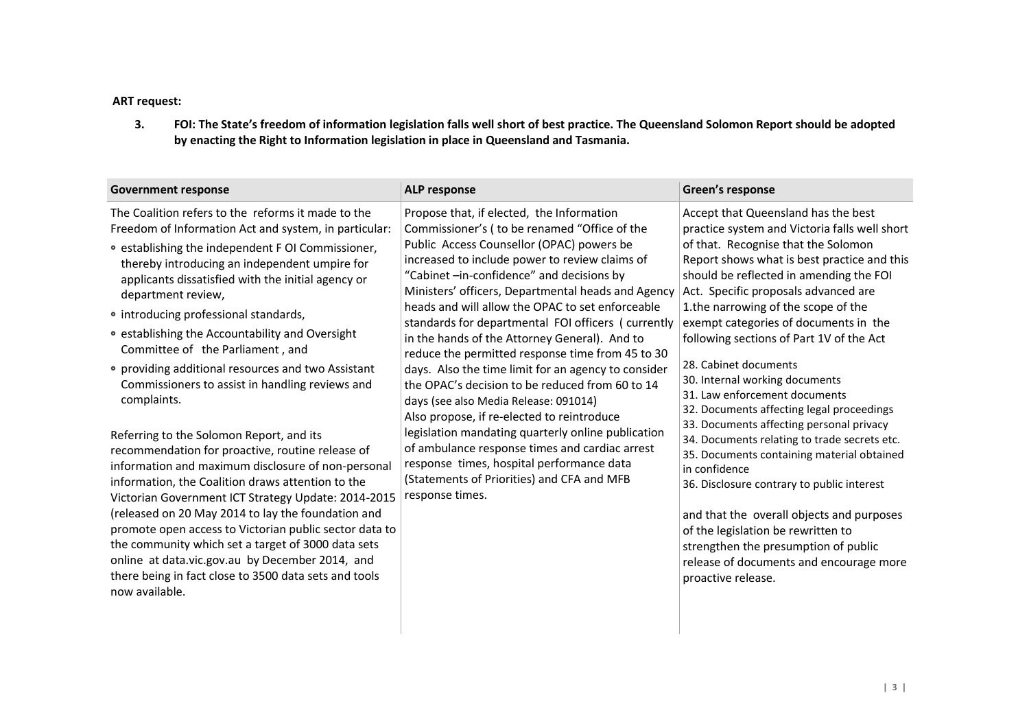## **ART request:**

**3. FOI: The State's freedom of information legislation falls well short of best practice. The Queensland Solomon Report should be adopted by enacting the Right to Information legislation in place in Queensland and Tasmania.**

| <b>Government response</b>                                                                                                                                                                                                                                                                                                                                                                                                                                                                                                                                                                                                                                                                                                                                                                                                                                                                                                                                                                                                                                                                                                  | ALP response                                                                                                                                                                                                                                                                                                                                                                                                                                                                                                                                                                                                                                                                                                                                                                                                                                                                                                                      | Green's response                                                                                                                                                                                                                                                                                                                                                                                                                                                                                                                                                                                                                                                                                                                                                                                                                                                                                                                        |
|-----------------------------------------------------------------------------------------------------------------------------------------------------------------------------------------------------------------------------------------------------------------------------------------------------------------------------------------------------------------------------------------------------------------------------------------------------------------------------------------------------------------------------------------------------------------------------------------------------------------------------------------------------------------------------------------------------------------------------------------------------------------------------------------------------------------------------------------------------------------------------------------------------------------------------------------------------------------------------------------------------------------------------------------------------------------------------------------------------------------------------|-----------------------------------------------------------------------------------------------------------------------------------------------------------------------------------------------------------------------------------------------------------------------------------------------------------------------------------------------------------------------------------------------------------------------------------------------------------------------------------------------------------------------------------------------------------------------------------------------------------------------------------------------------------------------------------------------------------------------------------------------------------------------------------------------------------------------------------------------------------------------------------------------------------------------------------|-----------------------------------------------------------------------------------------------------------------------------------------------------------------------------------------------------------------------------------------------------------------------------------------------------------------------------------------------------------------------------------------------------------------------------------------------------------------------------------------------------------------------------------------------------------------------------------------------------------------------------------------------------------------------------------------------------------------------------------------------------------------------------------------------------------------------------------------------------------------------------------------------------------------------------------------|
| The Coalition refers to the reforms it made to the<br>Freedom of Information Act and system, in particular:<br>• establishing the independent F OI Commissioner,<br>thereby introducing an independent umpire for<br>applicants dissatisfied with the initial agency or<br>department review,<br>• introducing professional standards,<br>• establishing the Accountability and Oversight<br>Committee of the Parliament, and<br>• providing additional resources and two Assistant<br>Commissioners to assist in handling reviews and<br>complaints.<br>Referring to the Solomon Report, and its<br>recommendation for proactive, routine release of<br>information and maximum disclosure of non-personal<br>information, the Coalition draws attention to the<br>Victorian Government ICT Strategy Update: 2014-2015<br>(released on 20 May 2014 to lay the foundation and<br>promote open access to Victorian public sector data to<br>the community which set a target of 3000 data sets<br>online at data.vic.gov.au by December 2014, and<br>there being in fact close to 3500 data sets and tools<br>now available. | Propose that, if elected, the Information<br>Commissioner's (to be renamed "Office of the<br>Public Access Counsellor (OPAC) powers be<br>increased to include power to review claims of<br>"Cabinet -in-confidence" and decisions by<br>Ministers' officers, Departmental heads and Agency<br>heads and will allow the OPAC to set enforceable<br>standards for departmental FOI officers (currently<br>in the hands of the Attorney General). And to<br>reduce the permitted response time from 45 to 30<br>days. Also the time limit for an agency to consider<br>the OPAC's decision to be reduced from 60 to 14<br>days (see also Media Release: 091014)<br>Also propose, if re-elected to reintroduce<br>legislation mandating quarterly online publication<br>of ambulance response times and cardiac arrest<br>response times, hospital performance data<br>(Statements of Priorities) and CFA and MFB<br>response times. | Accept that Queensland has the best<br>practice system and Victoria falls well short<br>of that. Recognise that the Solomon<br>Report shows what is best practice and this<br>should be reflected in amending the FOI<br>Act. Specific proposals advanced are<br>1.the narrowing of the scope of the<br>exempt categories of documents in the<br>following sections of Part 1V of the Act<br>28. Cabinet documents<br>30. Internal working documents<br>31. Law enforcement documents<br>32. Documents affecting legal proceedings<br>33. Documents affecting personal privacy<br>34. Documents relating to trade secrets etc.<br>35. Documents containing material obtained<br>in confidence<br>36. Disclosure contrary to public interest<br>and that the overall objects and purposes<br>of the legislation be rewritten to<br>strengthen the presumption of public<br>release of documents and encourage more<br>proactive release. |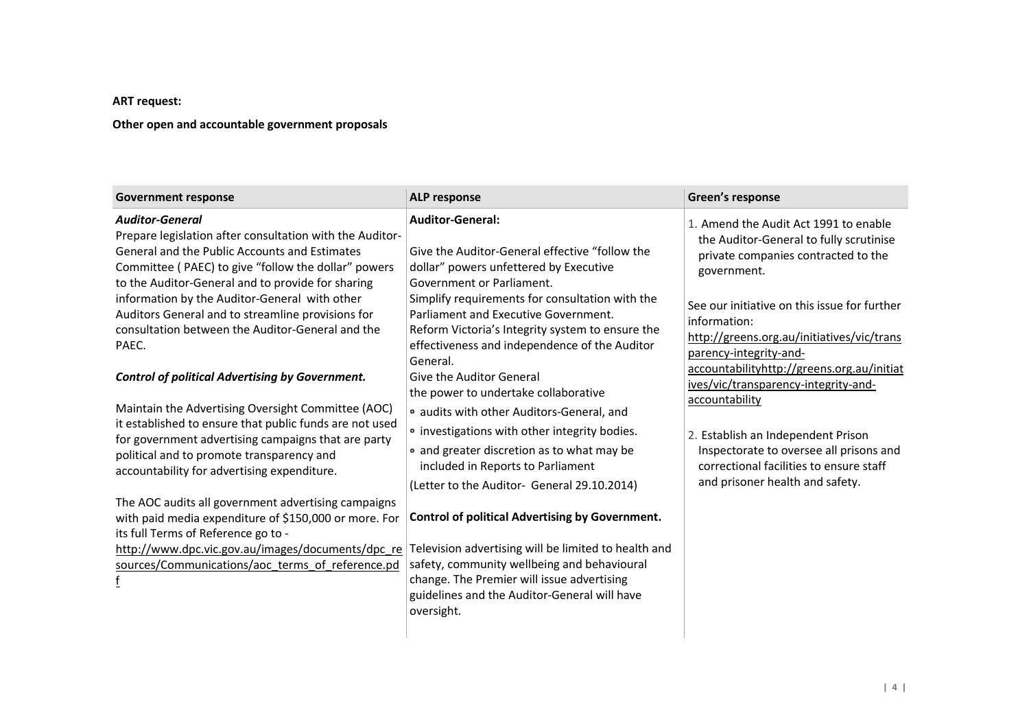## **ART request:**

## **Other open and accountable government proposals**

| <b>Government response</b>                                                                                                                                                                                                                                                                                                                                                                                         | <b>ALP response</b>                                                                                                                                                                                                                                                                                                                                          | Green's response                                                                                                                                                                                                                                                                                                                                                                                                                                                                                                                                      |
|--------------------------------------------------------------------------------------------------------------------------------------------------------------------------------------------------------------------------------------------------------------------------------------------------------------------------------------------------------------------------------------------------------------------|--------------------------------------------------------------------------------------------------------------------------------------------------------------------------------------------------------------------------------------------------------------------------------------------------------------------------------------------------------------|-------------------------------------------------------------------------------------------------------------------------------------------------------------------------------------------------------------------------------------------------------------------------------------------------------------------------------------------------------------------------------------------------------------------------------------------------------------------------------------------------------------------------------------------------------|
| <b>Auditor-General</b><br>Prepare legislation after consultation with the Auditor-<br>General and the Public Accounts and Estimates<br>Committee (PAEC) to give "follow the dollar" powers<br>to the Auditor-General and to provide for sharing<br>information by the Auditor-General with other<br>Auditors General and to streamline provisions for<br>consultation between the Auditor-General and the<br>PAEC. | <b>Auditor-General:</b><br>Give the Auditor-General effective "follow the<br>dollar" powers unfettered by Executive<br>Government or Parliament.<br>Simplify requirements for consultation with the<br>Parliament and Executive Government.<br>Reform Victoria's Integrity system to ensure the<br>effectiveness and independence of the Auditor<br>General. | 1. Amend the Audit Act 1991 to enable<br>the Auditor-General to fully scrutinise<br>private companies contracted to the<br>government.<br>See our initiative on this issue for further<br>information:<br>http://greens.org.au/initiatives/vic/trans<br>parency-integrity-and-<br>accountabilityhttp://greens.org.au/initiat<br>ives/vic/transparency-integrity-and-<br>accountability<br>2. Establish an Independent Prison<br>Inspectorate to oversee all prisons and<br>correctional facilities to ensure staff<br>and prisoner health and safety. |
| <b>Control of political Advertising by Government.</b><br>Maintain the Advertising Oversight Committee (AOC)<br>it established to ensure that public funds are not used<br>for government advertising campaigns that are party<br>political and to promote transparency and<br>accountability for advertising expenditure.                                                                                         | Give the Auditor General<br>the power to undertake collaborative<br>• audits with other Auditors-General, and<br>• investigations with other integrity bodies.<br>• and greater discretion as to what may be<br>included in Reports to Parliament<br>(Letter to the Auditor- General 29.10.2014)                                                             |                                                                                                                                                                                                                                                                                                                                                                                                                                                                                                                                                       |
| The AOC audits all government advertising campaigns<br>with paid media expenditure of \$150,000 or more. For<br>its full Terms of Reference go to -<br>http://www.dpc.vic.gov.au/images/documents/dpc_re<br>sources/Communications/aoc_terms_of_reference.pd<br>f                                                                                                                                                  | <b>Control of political Advertising by Government.</b><br>Television advertising will be limited to health and<br>safety, community wellbeing and behavioural<br>change. The Premier will issue advertising<br>guidelines and the Auditor-General will have<br>oversight.                                                                                    |                                                                                                                                                                                                                                                                                                                                                                                                                                                                                                                                                       |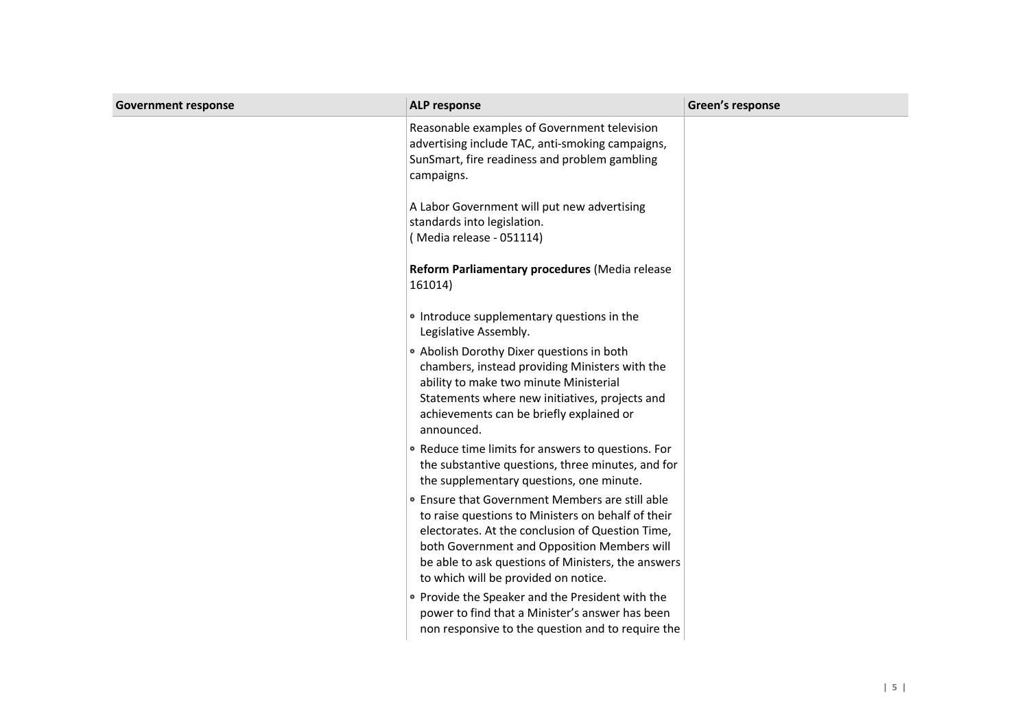| <b>Government response</b> | <b>ALP response</b>                                                                                                                                                                                                                                                                                    | Green's response |
|----------------------------|--------------------------------------------------------------------------------------------------------------------------------------------------------------------------------------------------------------------------------------------------------------------------------------------------------|------------------|
|                            | Reasonable examples of Government television<br>advertising include TAC, anti-smoking campaigns,<br>SunSmart, fire readiness and problem gambling<br>campaigns.                                                                                                                                        |                  |
|                            | A Labor Government will put new advertising<br>standards into legislation.<br>(Media release - 051114)                                                                                                                                                                                                 |                  |
|                            | Reform Parliamentary procedures (Media release<br>161014)                                                                                                                                                                                                                                              |                  |
|                            | • Introduce supplementary questions in the<br>Legislative Assembly.                                                                                                                                                                                                                                    |                  |
|                            | . Abolish Dorothy Dixer questions in both<br>chambers, instead providing Ministers with the<br>ability to make two minute Ministerial<br>Statements where new initiatives, projects and<br>achievements can be briefly explained or<br>announced.                                                      |                  |
|                            | • Reduce time limits for answers to questions. For<br>the substantive questions, three minutes, and for<br>the supplementary questions, one minute.                                                                                                                                                    |                  |
|                            | • Ensure that Government Members are still able<br>to raise questions to Ministers on behalf of their<br>electorates. At the conclusion of Question Time,<br>both Government and Opposition Members will<br>be able to ask questions of Ministers, the answers<br>to which will be provided on notice. |                  |
|                            | • Provide the Speaker and the President with the<br>power to find that a Minister's answer has been<br>non responsive to the question and to require the                                                                                                                                               |                  |